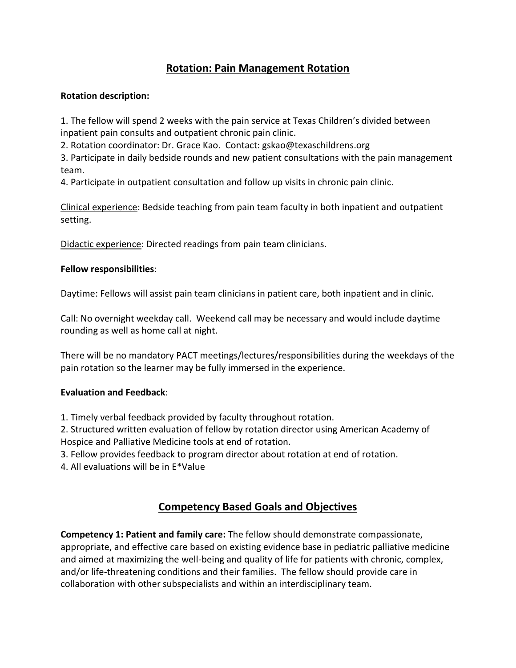## **Rotation: Pain Management Rotation**

### **Rotation description:**

1. The fellow will spend 2 weeks with the pain service at Texas Children's divided between inpatient pain consults and outpatient chronic pain clinic.

2. Rotation coordinator: Dr. Grace Kao. Contact: gskao@texaschildrens.org

3. Participate in daily bedside rounds and new patient consultations with the pain management team.

4. Participate in outpatient consultation and follow up visits in chronic pain clinic.

Clinical experience: Bedside teaching from pain team faculty in both inpatient and outpatient setting.

Didactic experience: Directed readings from pain team clinicians.

### **Fellow responsibilities**:

Daytime: Fellows will assist pain team clinicians in patient care, both inpatient and in clinic.

Call: No overnight weekday call. Weekend call may be necessary and would include daytime rounding as well as home call at night.

There will be no mandatory PACT meetings/lectures/responsibilities during the weekdays of the pain rotation so the learner may be fully immersed in the experience.

#### **Evaluation and Feedback**:

1. Timely verbal feedback provided by faculty throughout rotation.

2. Structured written evaluation of fellow by rotation director using American Academy of Hospice and Palliative Medicine tools at end of rotation.

3. Fellow provides feedback to program director about rotation at end of rotation.

4. All evaluations will be in E\*Value

# **Competency Based Goals and Objectives**

**Competency 1: Patient and family care:** The fellow should demonstrate compassionate, appropriate, and effective care based on existing evidence base in pediatric palliative medicine and aimed at maximizing the well-being and quality of life for patients with chronic, complex, and/or life-threatening conditions and their families. The fellow should provide care in collaboration with other subspecialists and within an interdisciplinary team.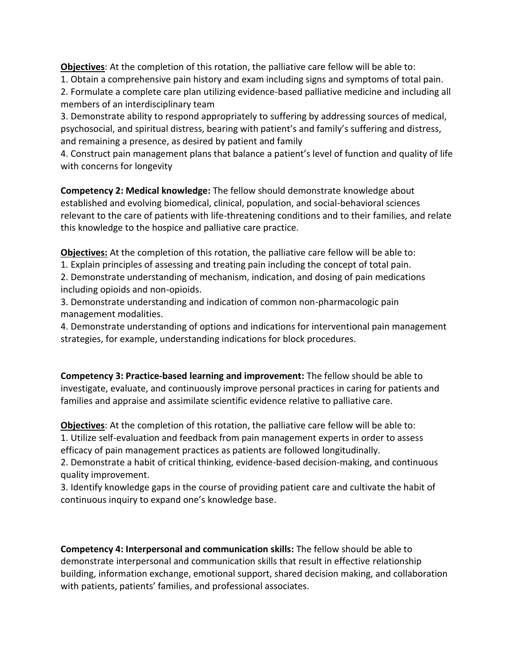**Objectives**: At the completion of this rotation, the palliative care fellow will be able to:

1. Obtain a comprehensive pain history and exam including signs and symptoms of total pain.

2. Formulate a complete care plan utilizing evidence-based palliative medicine and including all members of an interdisciplinary team

3. Demonstrate ability to respond appropriately to suffering by addressing sources of medical, psychosocial, and spiritual distress, bearing with patient's and family's suffering and distress, and remaining a presence, as desired by patient and family

4. Construct pain management plans that balance a patient's level of function and quality of life with concerns for longevity

**Competency 2: Medical knowledge:** The fellow should demonstrate knowledge about established and evolving biomedical, clinical, population, and social-behavioral sciences relevant to the care of patients with life-threatening conditions and to their families, and relate this knowledge to the hospice and palliative care practice.

**Objectives:** At the completion of this rotation, the palliative care fellow will be able to:

1. Explain principles of assessing and treating pain including the concept of total pain.

2. Demonstrate understanding of mechanism, indication, and dosing of pain medications including opioids and non-opioids.

3. Demonstrate understanding and indication of common non-pharmacologic pain management modalities.

4. Demonstrate understanding of options and indications for interventional pain management strategies, for example, understanding indications for block procedures.

**Competency 3: Practice-based learning and improvement:** The fellow should be able to investigate, evaluate, and continuously improve personal practices in caring for patients and families and appraise and assimilate scientific evidence relative to palliative care.

**Objectives**: At the completion of this rotation, the palliative care fellow will be able to: 1. Utilize self-evaluation and feedback from pain management experts in order to assess efficacy of pain management practices as patients are followed longitudinally.

2. Demonstrate a habit of critical thinking, evidence-based decision-making, and continuous quality improvement.

3. Identify knowledge gaps in the course of providing patient care and cultivate the habit of continuous inquiry to expand one's knowledge base.

**Competency 4: Interpersonal and communication skills:** The fellow should be able to demonstrate interpersonal and communication skills that result in effective relationship building, information exchange, emotional support, shared decision making, and collaboration with patients, patients' families, and professional associates.